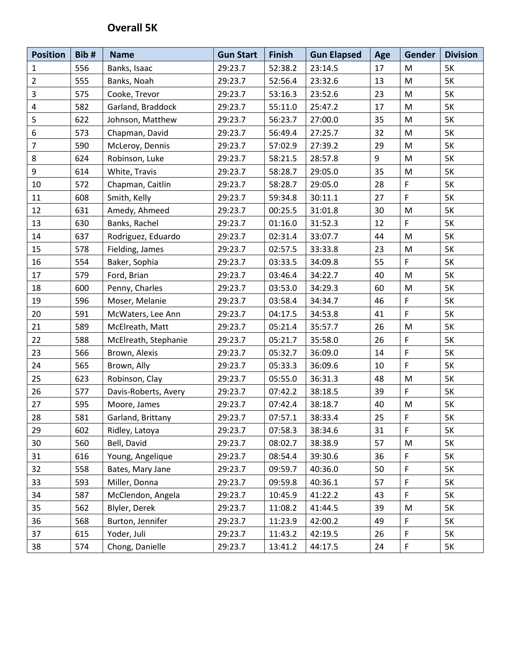## **Overall 5K**

| <b>Position</b> | Bib# | <b>Name</b>          | <b>Gun Start</b> | <b>Finish</b> | <b>Gun Elapsed</b> | Age    | Gender      | <b>Division</b> |
|-----------------|------|----------------------|------------------|---------------|--------------------|--------|-------------|-----------------|
| $\mathbf{1}$    | 556  | Banks, Isaac         | 29:23.7          | 52:38.2       | 23:14.5            | 17     | M           | <b>5K</b>       |
| $\overline{2}$  | 555  | Banks, Noah          | 29:23.7          | 52:56.4       | 23:32.6            | 13     | ${\sf M}$   | <b>5K</b>       |
| 3               | 575  | Cooke, Trevor        | 29:23.7          | 53:16.3       | 23:52.6            | 23     | ${\sf M}$   | <b>5K</b>       |
| 4               | 582  | Garland, Braddock    | 29:23.7          | 55:11.0       | 25:47.2            | 17     | M           | <b>5K</b>       |
| 5               | 622  | Johnson, Matthew     | 29:23.7          | 56:23.7       | 27:00.0            | 35     | ${\sf M}$   | <b>5K</b>       |
| 6               | 573  | Chapman, David       | 29:23.7          | 56:49.4       | 27:25.7            | 32     | M           | <b>5K</b>       |
| $\overline{7}$  | 590  | McLeroy, Dennis      | 29:23.7          | 57:02.9       | 27:39.2            | 29     | ${\sf M}$   | <b>5K</b>       |
| 8               | 624  | Robinson, Luke       | 29:23.7          | 58:21.5       | 28:57.8            | 9      | ${\sf M}$   | <b>5K</b>       |
| 9               | 614  | White, Travis        | 29:23.7          | 58:28.7       | 29:05.0            | 35     | ${\sf M}$   | 5K              |
| 10              | 572  | Chapman, Caitlin     | 29:23.7          | 58:28.7       | 29:05.0            | 28     | $\mathsf F$ | <b>5K</b>       |
| 11              | 608  | Smith, Kelly         | 29:23.7          | 59:34.8       | 30:11.1            | 27     | F           | <b>5K</b>       |
| 12              | 631  | Amedy, Ahmeed        | 29:23.7          | 00:25.5       | 31:01.8            | 30     | ${\sf M}$   | 5K              |
| 13              | 630  | Banks, Rachel        | 29:23.7          | 01:16.0       | 31:52.3            | 12     | $\mathsf F$ | <b>5K</b>       |
| 14              | 637  | Rodriguez, Eduardo   | 29:23.7          | 02:31.4       | 33:07.7            | 44     | ${\sf M}$   | 5K              |
| 15              | 578  | Fielding, James      | 29:23.7          | 02:57.5       | 33:33.8            | 23     | M           | <b>5K</b>       |
| 16              | 554  | Baker, Sophia        | 29:23.7          | 03:33.5       | 34:09.8            | 55     | F           | 5K              |
| 17              | 579  | Ford, Brian          | 29:23.7          | 03:46.4       | 34:22.7            | 40     | ${\sf M}$   | 5K              |
| 18              | 600  | Penny, Charles       | 29:23.7          | 03:53.0       | 34:29.3            | 60     | ${\sf M}$   | 5K              |
| 19              | 596  | Moser, Melanie       | 29:23.7          | 03:58.4       | 34:34.7            | 46     | $\mathsf F$ | 5K              |
| 20              | 591  | McWaters, Lee Ann    | 29:23.7          | 04:17.5       | 34:53.8            | 41     | $\mathsf F$ | <b>5K</b>       |
| 21              | 589  | McElreath, Matt      | 29:23.7          | 05:21.4       | 35:57.7            | 26     | ${\sf M}$   | <b>5K</b>       |
| 22              | 588  | McElreath, Stephanie | 29:23.7          | 05:21.7       | 35:58.0            | 26     | $\mathsf F$ | <b>5K</b>       |
| 23              | 566  | Brown, Alexis        | 29:23.7          | 05:32.7       | 36:09.0            | 14     | $\mathsf F$ | 5K              |
| 24              | 565  | Brown, Ally          | 29:23.7          | 05:33.3       | 36:09.6            | 10     | $\mathsf F$ | <b>5K</b>       |
| 25              | 623  | Robinson, Clay       | 29:23.7          | 05:55.0       | 36:31.3            | 48     | ${\sf M}$   | <b>5K</b>       |
| 26              | 577  | Davis-Roberts, Avery | 29:23.7          | 07:42.2       | 38:18.5            | 39     | F           | <b>5K</b>       |
| 27              | 595  | Moore, James         | 29:23.7          | 07:42.4       | 38:18.7            | 40     | M           | 5K              |
| 28              | 581  | Garland, Brittany    | 29:23.7          | 07:57.1       | 38:33.4            | $25\,$ | $\mathsf F$ | 5K              |
| 29              | 602  | Ridley, Latoya       | 29:23.7          | 07:58.3       | 38:34.6            | 31     | F           | 5K              |
| 30              | 560  | Bell, David          | 29:23.7          | 08:02.7       | 38:38.9            | 57     | M           | 5K              |
| 31              | 616  | Young, Angelique     | 29:23.7          | 08:54.4       | 39:30.6            | 36     | $\mathsf F$ | 5K              |
| 32              | 558  | Bates, Mary Jane     | 29:23.7          | 09:59.7       | 40:36.0            | 50     | $\mathsf F$ | 5K              |
| 33              | 593  | Miller, Donna        | 29:23.7          | 09:59.8       | 40:36.1            | 57     | F           | 5K              |
| 34              | 587  | McClendon, Angela    | 29:23.7          | 10:45.9       | 41:22.2            | 43     | $\mathsf F$ | <b>5K</b>       |
| 35              | 562  | Blyler, Derek        | 29:23.7          | 11:08.2       | 41:44.5            | 39     | M           | 5K              |
| 36              | 568  | Burton, Jennifer     | 29:23.7          | 11:23.9       | 42:00.2            | 49     | $\mathsf F$ | 5K              |
| 37              | 615  | Yoder, Juli          | 29:23.7          | 11:43.2       | 42:19.5            | 26     | $\mathsf F$ | 5K              |
| 38              | 574  | Chong, Danielle      | 29:23.7          | 13:41.2       | 44:17.5            | 24     | $\mathsf F$ | 5K              |